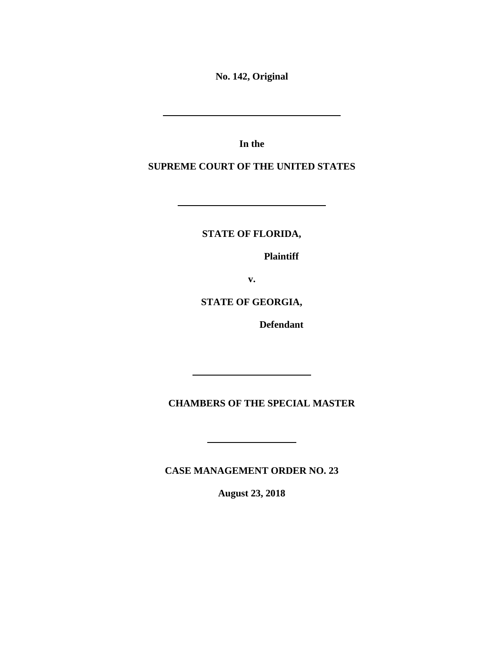**No. 142, Original**

**In the**

**SUPREME COURT OF THE UNITED STATES**

**STATE OF FLORIDA,**

**Plaintiff**

**v.**

**STATE OF GEORGIA,**

**Defendant**

**CHAMBERS OF THE SPECIAL MASTER**

**CASE MANAGEMENT ORDER NO. 23**

**August 23, 2018**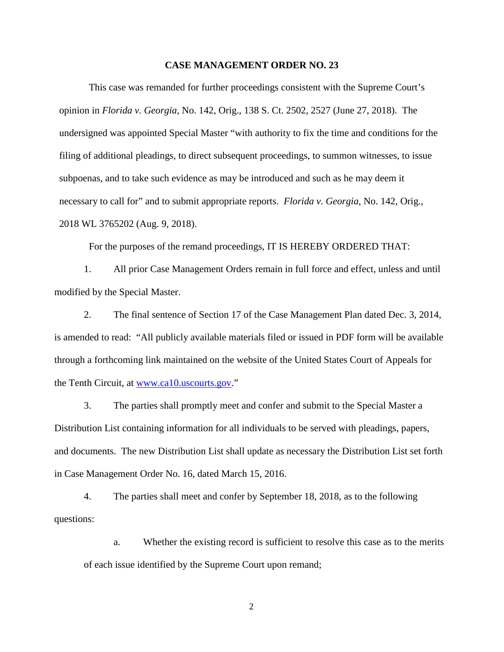## **CASE MANAGEMENT ORDER NO. 23**

This case was remanded for further proceedings consistent with the Supreme Court's opinion in *Florida v. Georgia*, No. 142, Orig., 138 S. Ct. 2502, 2527 (June 27, 2018). The undersigned was appointed Special Master "with authority to fix the time and conditions for the filing of additional pleadings, to direct subsequent proceedings, to summon witnesses, to issue subpoenas, and to take such evidence as may be introduced and such as he may deem it necessary to call for" and to submit appropriate reports. *Florida v. Georgia*, No. 142, Orig., 2018 WL 3765202 (Aug. 9, 2018).

For the purposes of the remand proceedings, IT IS HEREBY ORDERED THAT:

1. All prior Case Management Orders remain in full force and effect, unless and until modified by the Special Master.

2. The final sentence of Section 17 of the Case Management Plan dated Dec. 3, 2014, is amended to read: "All publicly available materials filed or issued in PDF form will be available through a forthcoming link maintained on the website of the United States Court of Appeals for the Tenth Circuit, at [www.ca10.uscourts.gov.](http://www.ca10.uscourts.gov/)"

3. The parties shall promptly meet and confer and submit to the Special Master a Distribution List containing information for all individuals to be served with pleadings, papers, and documents. The new Distribution List shall update as necessary the Distribution List set forth in Case Management Order No. 16, dated March 15, 2016.

4. The parties shall meet and confer by September 18, 2018, as to the following questions:

a. Whether the existing record is sufficient to resolve this case as to the merits of each issue identified by the Supreme Court upon remand;

2